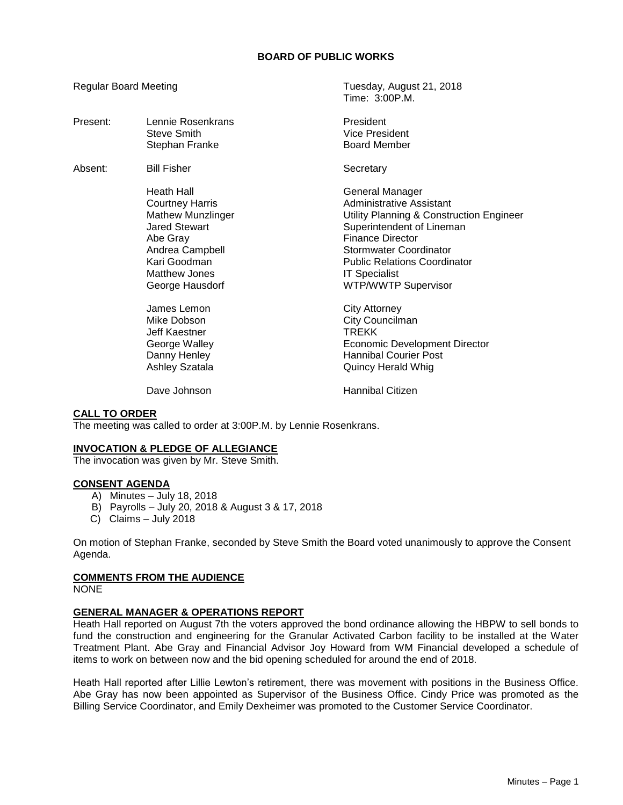## **BOARD OF PUBLIC WORKS**

Regular Board Meeting Tuesday, August 21, 2018

|          |                                                                                                                                                                                    | Time: 3:00P.M.                                                                                                                                                                                                                                                                |
|----------|------------------------------------------------------------------------------------------------------------------------------------------------------------------------------------|-------------------------------------------------------------------------------------------------------------------------------------------------------------------------------------------------------------------------------------------------------------------------------|
| Present: | Lennie Rosenkrans<br>Steve Smith<br>Stephan Franke                                                                                                                                 | President<br><b>Vice President</b><br><b>Board Member</b>                                                                                                                                                                                                                     |
| Absent:  | <b>Bill Fisher</b>                                                                                                                                                                 | Secretary                                                                                                                                                                                                                                                                     |
|          | <b>Heath Hall</b><br><b>Courtney Harris</b><br><b>Mathew Munzlinger</b><br><b>Jared Stewart</b><br>Abe Gray<br>Andrea Campbell<br>Kari Goodman<br>Matthew Jones<br>George Hausdorf | General Manager<br><b>Administrative Assistant</b><br>Utility Planning & Construction Engineer<br>Superintendent of Lineman<br><b>Finance Director</b><br>Stormwater Coordinator<br><b>Public Relations Coordinator</b><br><b>IT Specialist</b><br><b>WTP/WWTP Supervisor</b> |
|          | James Lemon<br>Mike Dobson<br>Jeff Kaestner<br>George Walley<br>Danny Henley<br><b>Ashley Szatala</b>                                                                              | City Attorney<br>City Councilman<br><b>TREKK</b><br><b>Economic Development Director</b><br><b>Hannibal Courier Post</b><br>Quincy Herald Whig                                                                                                                                |
|          | Dave Johnson                                                                                                                                                                       | Hannibal Citizen                                                                                                                                                                                                                                                              |

## **CALL TO ORDER**

The meeting was called to order at 3:00P.M. by Lennie Rosenkrans.

#### **INVOCATION & PLEDGE OF ALLEGIANCE**

The invocation was given by Mr. Steve Smith.

### **CONSENT AGENDA**

- A) Minutes July 18, 2018
- B) Payrolls July 20, 2018 & August 3 & 17, 2018
- C) Claims July 2018

On motion of Stephan Franke, seconded by Steve Smith the Board voted unanimously to approve the Consent Agenda.

### **COMMENTS FROM THE AUDIENCE**

NONE

### **GENERAL MANAGER & OPERATIONS REPORT**

Heath Hall reported on August 7th the voters approved the bond ordinance allowing the HBPW to sell bonds to fund the construction and engineering for the Granular Activated Carbon facility to be installed at the Water Treatment Plant. Abe Gray and Financial Advisor Joy Howard from WM Financial developed a schedule of items to work on between now and the bid opening scheduled for around the end of 2018.

Heath Hall reported after Lillie Lewton's retirement, there was movement with positions in the Business Office. Abe Gray has now been appointed as Supervisor of the Business Office. Cindy Price was promoted as the Billing Service Coordinator, and Emily Dexheimer was promoted to the Customer Service Coordinator.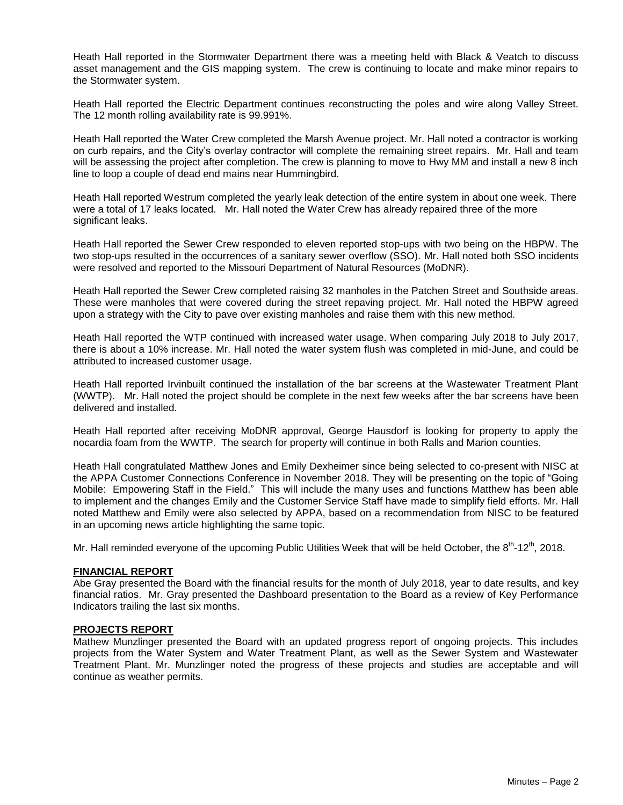Heath Hall reported in the Stormwater Department there was a meeting held with Black & Veatch to discuss asset management and the GIS mapping system. The crew is continuing to locate and make minor repairs to the Stormwater system.

Heath Hall reported the Electric Department continues reconstructing the poles and wire along Valley Street. The 12 month rolling availability rate is 99.991%.

Heath Hall reported the Water Crew completed the Marsh Avenue project. Mr. Hall noted a contractor is working on curb repairs, and the City's overlay contractor will complete the remaining street repairs. Mr. Hall and team will be assessing the project after completion. The crew is planning to move to Hwy MM and install a new 8 inch line to loop a couple of dead end mains near Hummingbird.

Heath Hall reported Westrum completed the yearly leak detection of the entire system in about one week. There were a total of 17 leaks located. Mr. Hall noted the Water Crew has already repaired three of the more significant leaks.

Heath Hall reported the Sewer Crew responded to eleven reported stop-ups with two being on the HBPW. The two stop-ups resulted in the occurrences of a sanitary sewer overflow (SSO). Mr. Hall noted both SSO incidents were resolved and reported to the Missouri Department of Natural Resources (MoDNR).

Heath Hall reported the Sewer Crew completed raising 32 manholes in the Patchen Street and Southside areas. These were manholes that were covered during the street repaving project. Mr. Hall noted the HBPW agreed upon a strategy with the City to pave over existing manholes and raise them with this new method.

Heath Hall reported the WTP continued with increased water usage. When comparing July 2018 to July 2017, there is about a 10% increase. Mr. Hall noted the water system flush was completed in mid-June, and could be attributed to increased customer usage.

Heath Hall reported Irvinbuilt continued the installation of the bar screens at the Wastewater Treatment Plant (WWTP). Mr. Hall noted the project should be complete in the next few weeks after the bar screens have been delivered and installed.

Heath Hall reported after receiving MoDNR approval, George Hausdorf is looking for property to apply the nocardia foam from the WWTP. The search for property will continue in both Ralls and Marion counties.

Heath Hall congratulated Matthew Jones and Emily Dexheimer since being selected to co-present with NISC at the APPA Customer Connections Conference in November 2018. They will be presenting on the topic of "Going Mobile: Empowering Staff in the Field." This will include the many uses and functions Matthew has been able to implement and the changes Emily and the Customer Service Staff have made to simplify field efforts. Mr. Hall noted Matthew and Emily were also selected by APPA, based on a recommendation from NISC to be featured in an upcoming news article highlighting the same topic.

Mr. Hall reminded everyone of the upcoming Public Utilities Week that will be held October, the 8<sup>th</sup>-12<sup>th</sup>, 2018.

### **FINANCIAL REPORT**

Abe Gray presented the Board with the financial results for the month of July 2018, year to date results, and key financial ratios. Mr. Gray presented the Dashboard presentation to the Board as a review of Key Performance Indicators trailing the last six months.

#### **PROJECTS REPORT**

Mathew Munzlinger presented the Board with an updated progress report of ongoing projects. This includes projects from the Water System and Water Treatment Plant, as well as the Sewer System and Wastewater Treatment Plant. Mr. Munzlinger noted the progress of these projects and studies are acceptable and will continue as weather permits.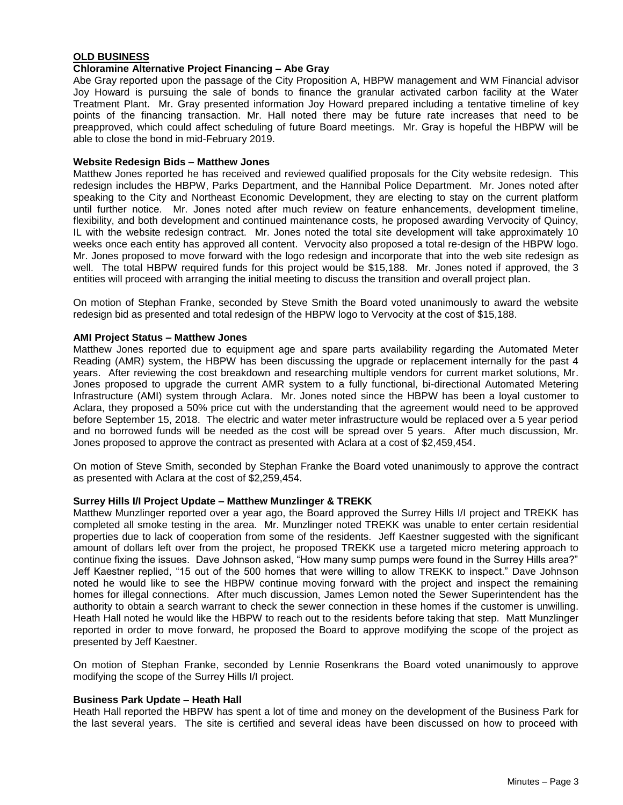# **OLD BUSINESS**

## **Chloramine Alternative Project Financing – Abe Gray**

Abe Gray reported upon the passage of the City Proposition A, HBPW management and WM Financial advisor Joy Howard is pursuing the sale of bonds to finance the granular activated carbon facility at the Water Treatment Plant. Mr. Gray presented information Joy Howard prepared including a tentative timeline of key points of the financing transaction. Mr. Hall noted there may be future rate increases that need to be preapproved, which could affect scheduling of future Board meetings. Mr. Gray is hopeful the HBPW will be able to close the bond in mid-February 2019.

#### **Website Redesign Bids – Matthew Jones**

Matthew Jones reported he has received and reviewed qualified proposals for the City website redesign. This redesign includes the HBPW, Parks Department, and the Hannibal Police Department. Mr. Jones noted after speaking to the City and Northeast Economic Development, they are electing to stay on the current platform until further notice. Mr. Jones noted after much review on feature enhancements, development timeline, flexibility, and both development and continued maintenance costs, he proposed awarding Vervocity of Quincy, IL with the website redesign contract. Mr. Jones noted the total site development will take approximately 10 weeks once each entity has approved all content. Vervocity also proposed a total re-design of the HBPW logo. Mr. Jones proposed to move forward with the logo redesign and incorporate that into the web site redesign as well. The total HBPW required funds for this project would be \$15,188. Mr. Jones noted if approved, the 3 entities will proceed with arranging the initial meeting to discuss the transition and overall project plan.

On motion of Stephan Franke, seconded by Steve Smith the Board voted unanimously to award the website redesign bid as presented and total redesign of the HBPW logo to Vervocity at the cost of \$15,188.

#### **AMI Project Status – Matthew Jones**

Matthew Jones reported due to equipment age and spare parts availability regarding the Automated Meter Reading (AMR) system, the HBPW has been discussing the upgrade or replacement internally for the past 4 years. After reviewing the cost breakdown and researching multiple vendors for current market solutions, Mr. Jones proposed to upgrade the current AMR system to a fully functional, bi-directional Automated Metering Infrastructure (AMI) system through Aclara. Mr. Jones noted since the HBPW has been a loyal customer to Aclara, they proposed a 50% price cut with the understanding that the agreement would need to be approved before September 15, 2018. The electric and water meter infrastructure would be replaced over a 5 year period and no borrowed funds will be needed as the cost will be spread over 5 years. After much discussion, Mr. Jones proposed to approve the contract as presented with Aclara at a cost of \$2,459,454.

On motion of Steve Smith, seconded by Stephan Franke the Board voted unanimously to approve the contract as presented with Aclara at the cost of \$2,259,454.

#### **Surrey Hills I/I Project Update – Matthew Munzlinger & TREKK**

Matthew Munzlinger reported over a year ago, the Board approved the Surrey Hills I/I project and TREKK has completed all smoke testing in the area. Mr. Munzlinger noted TREKK was unable to enter certain residential properties due to lack of cooperation from some of the residents. Jeff Kaestner suggested with the significant amount of dollars left over from the project, he proposed TREKK use a targeted micro metering approach to continue fixing the issues. Dave Johnson asked, "How many sump pumps were found in the Surrey Hills area?" Jeff Kaestner replied, "15 out of the 500 homes that were willing to allow TREKK to inspect." Dave Johnson noted he would like to see the HBPW continue moving forward with the project and inspect the remaining homes for illegal connections. After much discussion, James Lemon noted the Sewer Superintendent has the authority to obtain a search warrant to check the sewer connection in these homes if the customer is unwilling. Heath Hall noted he would like the HBPW to reach out to the residents before taking that step. Matt Munzlinger reported in order to move forward, he proposed the Board to approve modifying the scope of the project as presented by Jeff Kaestner.

On motion of Stephan Franke, seconded by Lennie Rosenkrans the Board voted unanimously to approve modifying the scope of the Surrey Hills I/I project.

#### **Business Park Update – Heath Hall**

Heath Hall reported the HBPW has spent a lot of time and money on the development of the Business Park for the last several years. The site is certified and several ideas have been discussed on how to proceed with